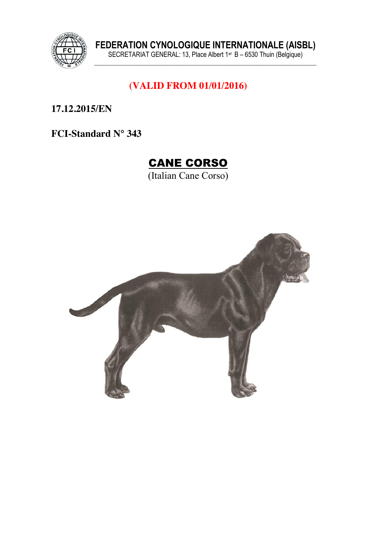

**\_\_\_\_\_\_\_\_\_\_\_\_\_\_\_\_\_\_\_\_\_\_\_\_\_\_\_\_\_\_\_\_\_\_\_\_\_\_\_\_\_\_\_\_\_\_\_\_\_\_\_\_\_\_\_\_\_\_\_\_\_\_\_\_\_\_\_\_\_\_\_\_\_\_\_\_\_\_**

# **\_\_\_\_\_\_\_\_\_\_\_\_\_\_\_\_\_\_\_\_\_\_\_\_\_\_\_\_\_\_\_\_\_\_\_\_\_\_\_\_\_\_\_\_\_\_\_\_\_\_\_\_\_\_\_\_\_\_\_\_\_\_\_ (VALID FROM 01/01/2016)**

**17.12.2015/EN** 

**FCI-Standard N° 343**



(Italian Cane Corso)

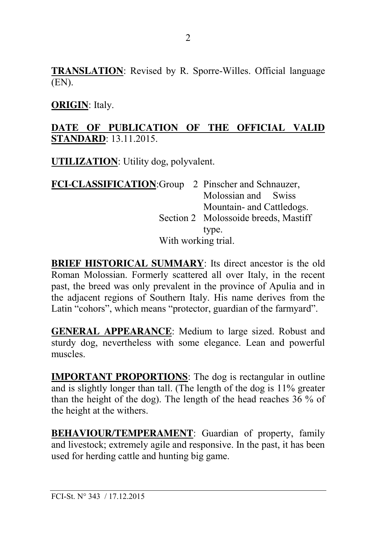**TRANSLATION**: Revised by R. Sporre-Willes. Official language (EN).

### **ORIGIN**: Italy.

## **DATE OF PUBLICATION OF THE OFFICIAL VALID STANDARD**: 13.11.2015.

**UTILIZATION**: Utility dog, polyvalent.

| FCI-CLASSIFICATION:Group 2 Pinscher and Schnauzer, |  |                                      |  |
|----------------------------------------------------|--|--------------------------------------|--|
|                                                    |  | Molossian and Swiss                  |  |
|                                                    |  | Mountain- and Cattledogs.            |  |
|                                                    |  | Section 2 Molossoide breeds, Mastiff |  |
|                                                    |  | type.                                |  |
|                                                    |  | With working trial.                  |  |

**BRIEF HISTORICAL SUMMARY:** Its direct ancestor is the old Roman Molossian. Formerly scattered all over Italy, in the recent past, the breed was only prevalent in the province of Apulia and in the adjacent regions of Southern Italy. His name derives from the Latin "cohors", which means "protector, guardian of the farmyard".

**GENERAL APPEARANCE**: Medium to large sized. Robust and sturdy dog, nevertheless with some elegance. Lean and powerful muscles.

**IMPORTANT PROPORTIONS**: The dog is rectangular in outline and is slightly longer than tall. (The length of the dog is 11% greater than the height of the dog). The length of the head reaches 36 % of the height at the withers.

**BEHAVIOUR/TEMPERAMENT**: Guardian of property, family and livestock; extremely agile and responsive. In the past, it has been used for herding cattle and hunting big game.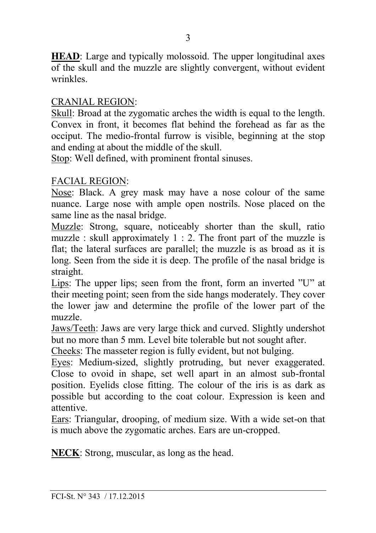**HEAD**: Large and typically molossoid. The upper longitudinal axes of the skull and the muzzle are slightly convergent, without evident wrinkles.

### CRANIAL REGION:

Skull: Broad at the zygomatic arches the width is equal to the length. Convex in front, it becomes flat behind the forehead as far as the occiput. The medio-frontal furrow is visible, beginning at the stop and ending at about the middle of the skull.

Stop: Well defined, with prominent frontal sinuses.

### FACIAL REGION:

Nose: Black. A grey mask may have a nose colour of the same nuance. Large nose with ample open nostrils. Nose placed on the same line as the nasal bridge.

Muzzle: Strong, square, noticeably shorter than the skull, ratio muzzle : skull approximately  $1 : 2$ . The front part of the muzzle is flat; the lateral surfaces are parallel; the muzzle is as broad as it is long. Seen from the side it is deep. The profile of the nasal bridge is straight.

Lips: The upper lips; seen from the front, form an inverted "U" at their meeting point; seen from the side hangs moderately. They cover the lower jaw and determine the profile of the lower part of the muzzle.

Jaws/Teeth: Jaws are very large thick and curved. Slightly undershot but no more than 5 mm. Level bite tolerable but not sought after.

Cheeks: The masseter region is fully evident, but not bulging.

Eyes: Medium-sized, slightly protruding, but never exaggerated. Close to ovoid in shape, set well apart in an almost sub-frontal position. Eyelids close fitting. The colour of the iris is as dark as possible but according to the coat colour. Expression is keen and attentive.

Ears: Triangular, drooping, of medium size. With a wide set-on that is much above the zygomatic arches. Ears are un-cropped.

**NECK**: Strong, muscular, as long as the head.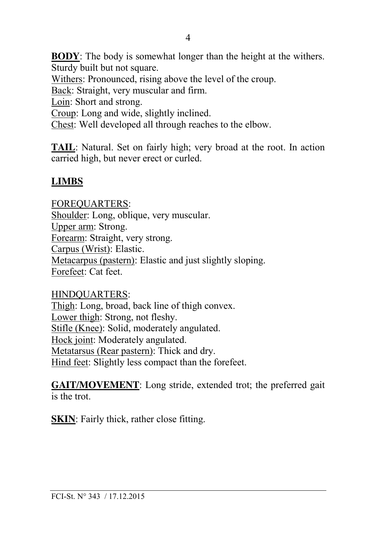**BODY**: The body is somewhat longer than the height at the withers. Sturdy built but not square.

Withers: Pronounced, rising above the level of the croup.

Back: Straight, very muscular and firm.

Loin: Short and strong.

Croup: Long and wide, slightly inclined.

Chest: Well developed all through reaches to the elbow.

**TAIL**: Natural. Set on fairly high; very broad at the root. In action carried high, but never erect or curled.

# **LIMBS**

FOREQUARTERS: Shoulder: Long, oblique, very muscular. Upper arm: Strong. Forearm: Straight, very strong. Carpus (Wrist): Elastic. Metacarpus (pastern): Elastic and just slightly sloping. Forefeet: Cat feet.

HINDQUARTERS:

Thigh: Long, broad, back line of thigh convex. Lower thigh: Strong, not fleshy. Stifle (Knee): Solid, moderately angulated. Hock joint: Moderately angulated. Metatarsus (Rear pastern): Thick and dry. Hind feet: Slightly less compact than the forefeet.

**GAIT/MOVEMENT**: Long stride, extended trot; the preferred gait is the trot.

**SKIN**: Fairly thick, rather close fitting.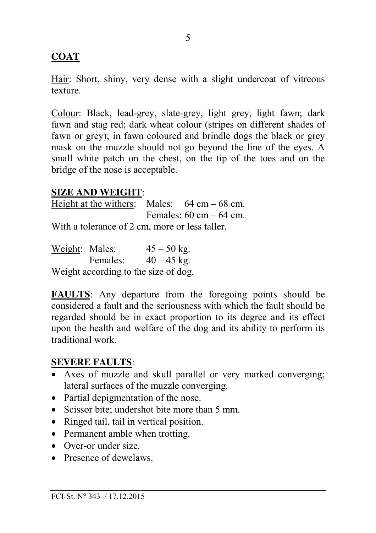## **COAT**

Hair: Short, shiny, very dense with a slight undercoat of vitreous texture.

Colour: Black, lead-grey, slate-grey, light grey, light fawn; dark fawn and stag red; dark wheat colour (stripes on different shades of fawn or grey); in fawn coloured and brindle dogs the black or grey mask on the muzzle should not go beyond the line of the eyes. A small white patch on the chest, on the tip of the toes and on the bridge of the nose is acceptable.

### **SIZE AND WEIGHT**:

Height at the withers: Males:  $64 \text{ cm} - 68 \text{ cm}$ . Females:  $60 \text{ cm} - 64 \text{ cm}$ .

With a tolerance of 2 cm, more or less taller.

Weight: Males:  $45 - 50$  kg. Females:  $40 - 45$  kg. Weight according to the size of dog.

**FAULTS**: Any departure from the foregoing points should be considered a fault and the seriousness with which the fault should be regarded should be in exact proportion to its degree and its effect upon the health and welfare of the dog and its ability to perform its traditional work.

### **SEVERE FAULTS**:

- Axes of muzzle and skull parallel or very marked converging; lateral surfaces of the muzzle converging.
- Partial depigmentation of the nose.
- Scissor bite: undershot bite more than  $5 \text{ mm}$ .
- Ringed tail, tail in vertical position.
- Permanent amble when trotting.
- $\bullet$  Over-or under size.
- $\bullet$  Presence of dewclaws.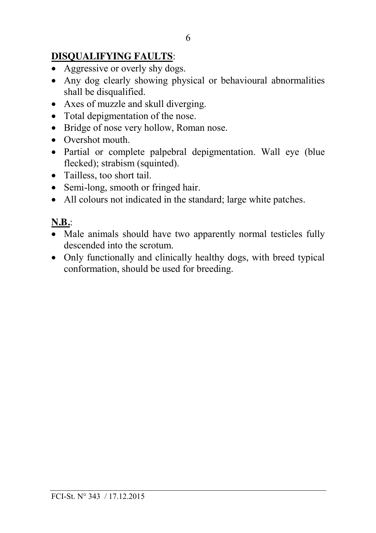# **DISQUALIFYING FAULTS**:

- Aggressive or overly shy dogs.
- Any dog clearly showing physical or behavioural abnormalities shall be disqualified.
- Axes of muzzle and skull diverging.
- Total depigmentation of the nose.
- Bridge of nose very hollow, Roman nose.
- Overshot mouth.
- Partial or complete palpebral depigmentation. Wall eye (blue flecked); strabism (squinted).
- Tailless, too short tail.
- Semi-long, smooth or fringed hair.
- All colours not indicated in the standard; large white patches.

# **N.B.**:

- Male animals should have two apparently normal testicles fully descended into the scrotum.
- Only functionally and clinically healthy dogs, with breed typical conformation, should be used for breeding.